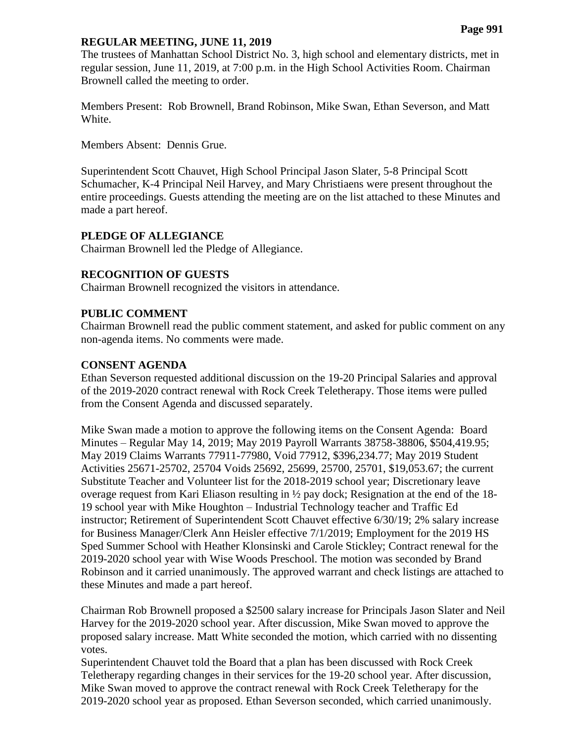#### **REGULAR MEETING, JUNE 11, 2019**

The trustees of Manhattan School District No. 3, high school and elementary districts, met in regular session, June 11, 2019, at 7:00 p.m. in the High School Activities Room. Chairman Brownell called the meeting to order.

Members Present: Rob Brownell, Brand Robinson, Mike Swan, Ethan Severson, and Matt White.

Members Absent: Dennis Grue.

Superintendent Scott Chauvet, High School Principal Jason Slater, 5-8 Principal Scott Schumacher, K-4 Principal Neil Harvey, and Mary Christiaens were present throughout the entire proceedings. Guests attending the meeting are on the list attached to these Minutes and made a part hereof.

### **PLEDGE OF ALLEGIANCE**

Chairman Brownell led the Pledge of Allegiance.

# **RECOGNITION OF GUESTS**

Chairman Brownell recognized the visitors in attendance.

### **PUBLIC COMMENT**

Chairman Brownell read the public comment statement, and asked for public comment on any non-agenda items. No comments were made.

#### **CONSENT AGENDA**

Ethan Severson requested additional discussion on the 19-20 Principal Salaries and approval of the 2019-2020 contract renewal with Rock Creek Teletherapy. Those items were pulled from the Consent Agenda and discussed separately.

Mike Swan made a motion to approve the following items on the Consent Agenda: Board Minutes – Regular May 14, 2019; May 2019 Payroll Warrants 38758-38806, \$504,419.95; May 2019 Claims Warrants 77911-77980, Void 77912, \$396,234.77; May 2019 Student Activities 25671-25702, 25704 Voids 25692, 25699, 25700, 25701, \$19,053.67; the current Substitute Teacher and Volunteer list for the 2018-2019 school year; Discretionary leave overage request from Kari Eliason resulting in ½ pay dock; Resignation at the end of the 18- 19 school year with Mike Houghton – Industrial Technology teacher and Traffic Ed instructor; Retirement of Superintendent Scott Chauvet effective 6/30/19; 2% salary increase for Business Manager/Clerk Ann Heisler effective 7/1/2019; Employment for the 2019 HS Sped Summer School with Heather Klonsinski and Carole Stickley; Contract renewal for the 2019-2020 school year with Wise Woods Preschool. The motion was seconded by Brand Robinson and it carried unanimously. The approved warrant and check listings are attached to these Minutes and made a part hereof.

Chairman Rob Brownell proposed a \$2500 salary increase for Principals Jason Slater and Neil Harvey for the 2019-2020 school year. After discussion, Mike Swan moved to approve the proposed salary increase. Matt White seconded the motion, which carried with no dissenting votes.

Superintendent Chauvet told the Board that a plan has been discussed with Rock Creek Teletherapy regarding changes in their services for the 19-20 school year. After discussion, Mike Swan moved to approve the contract renewal with Rock Creek Teletherapy for the 2019-2020 school year as proposed. Ethan Severson seconded, which carried unanimously.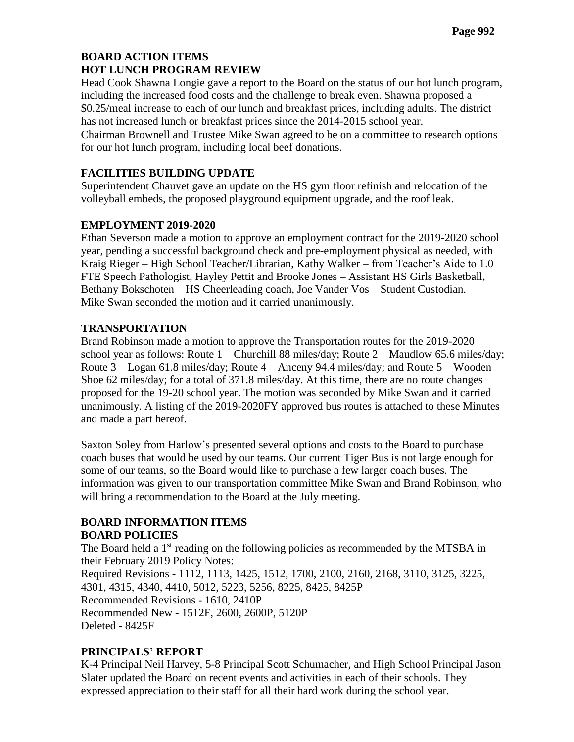# **BOARD ACTION ITEMS HOT LUNCH PROGRAM REVIEW**

Head Cook Shawna Longie gave a report to the Board on the status of our hot lunch program, including the increased food costs and the challenge to break even. Shawna proposed a \$0.25/meal increase to each of our lunch and breakfast prices, including adults. The district has not increased lunch or breakfast prices since the 2014-2015 school year. Chairman Brownell and Trustee Mike Swan agreed to be on a committee to research options for our hot lunch program, including local beef donations.

# **FACILITIES BUILDING UPDATE**

Superintendent Chauvet gave an update on the HS gym floor refinish and relocation of the volleyball embeds, the proposed playground equipment upgrade, and the roof leak.

# **EMPLOYMENT 2019-2020**

Ethan Severson made a motion to approve an employment contract for the 2019-2020 school year, pending a successful background check and pre-employment physical as needed, with Kraig Rieger – High School Teacher/Librarian, Kathy Walker – from Teacher's Aide to 1.0 FTE Speech Pathologist, Hayley Pettit and Brooke Jones – Assistant HS Girls Basketball, Bethany Bokschoten – HS Cheerleading coach, Joe Vander Vos – Student Custodian. Mike Swan seconded the motion and it carried unanimously.

# **TRANSPORTATION**

Brand Robinson made a motion to approve the Transportation routes for the 2019-2020 school year as follows: Route  $1$  – Churchill 88 miles/day; Route  $2$  – Maudlow 65.6 miles/day; Route 3 – Logan 61.8 miles/day; Route 4 – Anceny 94.4 miles/day; and Route 5 – Wooden Shoe 62 miles/day; for a total of 371.8 miles/day. At this time, there are no route changes proposed for the 19-20 school year. The motion was seconded by Mike Swan and it carried unanimously. A listing of the 2019-2020FY approved bus routes is attached to these Minutes and made a part hereof.

Saxton Soley from Harlow's presented several options and costs to the Board to purchase coach buses that would be used by our teams. Our current Tiger Bus is not large enough for some of our teams, so the Board would like to purchase a few larger coach buses. The information was given to our transportation committee Mike Swan and Brand Robinson, who will bring a recommendation to the Board at the July meeting.

# **BOARD INFORMATION ITEMS BOARD POLICIES**

The Board held a 1<sup>st</sup> reading on the following policies as recommended by the MTSBA in their February 2019 Policy Notes: Required Revisions - 1112, 1113, 1425, 1512, 1700, 2100, 2160, 2168, 3110, 3125, 3225, 4301, 4315, 4340, 4410, 5012, 5223, 5256, 8225, 8425, 8425P Recommended Revisions - 1610, 2410P Recommended New - 1512F, 2600, 2600P, 5120P Deleted - 8425F

# **PRINCIPALS' REPORT**

K-4 Principal Neil Harvey, 5-8 Principal Scott Schumacher, and High School Principal Jason Slater updated the Board on recent events and activities in each of their schools. They expressed appreciation to their staff for all their hard work during the school year.